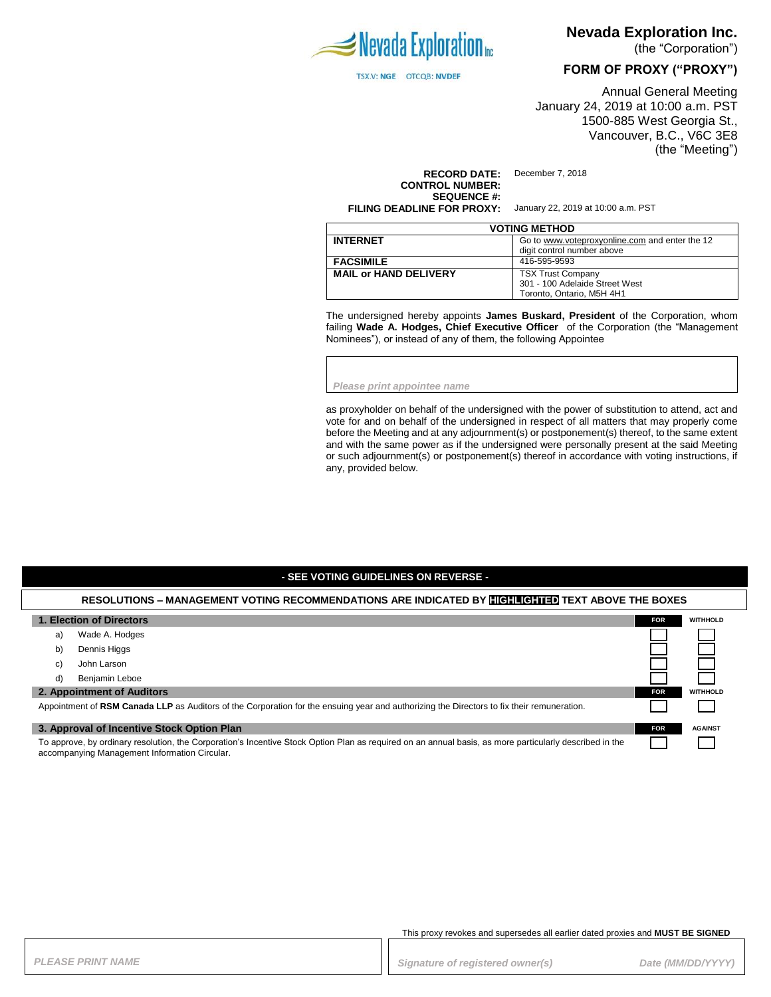

TSX.V: NGE OTCQB: NVDEF

**Nevada Exploration Inc.** 

(the "Corporation")

### **FORM OF PROXY ("PROXY")**

Annual General Meeting January 24, 2019 at 10:00 a.m. PST 1500-885 West Georgia St., Vancouver, B.C., V6C 3E8 (the "Meeting")

**RECORD DATE:** December 7, 2018 **CONTROL NUMBER: SEQUENCE #: FILING DEADLINE FOR PROXY:** January 22, 2019 at 10:00 a.m. PST

| <b>VOTING METHOD</b>         |                                                |  |
|------------------------------|------------------------------------------------|--|
| <b>INTERNET</b>              | Go to www.voteproxyonline.com and enter the 12 |  |
|                              | digit control number above                     |  |
| <b>FACSIMILE</b>             | 416-595-9593                                   |  |
| <b>MAIL or HAND DELIVERY</b> | <b>TSX Trust Company</b>                       |  |
|                              | 301 - 100 Adelaide Street West                 |  |
|                              | Toronto. Ontario. M5H 4H1                      |  |

The undersigned hereby appoints **James Buskard, President** of the Corporation, whom failing **Wade A. Hodges, Chief Executive Officer** of the Corporation (the "Management Nominees"), or instead of any of them, the following Appointee

*Please print appointee name*

as proxyholder on behalf of the undersigned with the power of substitution to attend, act and vote for and on behalf of the undersigned in respect of all matters that may properly come before the Meeting and at any adjournment(s) or postponement(s) thereof, to the same extent and with the same power as if the undersigned were personally present at the said Meeting or such adjournment(s) or postponement(s) thereof in accordance with voting instructions, if any, provided below.

### **- SEE VOTING GUIDELINES ON REVERSE -**

#### **RESOLUTIONS – MANAGEMENT VOTING RECOMMENDATIONS ARE INDICATED BY HIGHLIGHTED TEXT ABOVE THE BOXES**

| 1. Election of Directors                                                                                                                                                                                 |                | <b>FOR</b> | <b>WITHHOLD</b> |
|----------------------------------------------------------------------------------------------------------------------------------------------------------------------------------------------------------|----------------|------------|-----------------|
| a)                                                                                                                                                                                                       | Wade A. Hodges |            |                 |
| b)                                                                                                                                                                                                       | Dennis Higgs   |            |                 |
| C)                                                                                                                                                                                                       | John Larson    |            |                 |
| d)                                                                                                                                                                                                       | Benjamin Leboe |            |                 |
| 2. Appointment of Auditors                                                                                                                                                                               |                | <b>FOR</b> | <b>WITHHOLD</b> |
| Appointment of RSM Canada LLP as Auditors of the Corporation for the ensuing year and authorizing the Directors to fix their remuneration.                                                               |                |            |                 |
| 3. Approval of Incentive Stock Option Plan                                                                                                                                                               |                | <b>FOR</b> | <b>AGAINST</b>  |
| To approve, by ordinary resolution, the Corporation's Incentive Stock Option Plan as required on an annual basis, as more particularly described in the<br>accompanying Management Information Circular. |                |            |                 |

This proxy revokes and supersedes all earlier dated proxies and **MUST BE SIGNED**